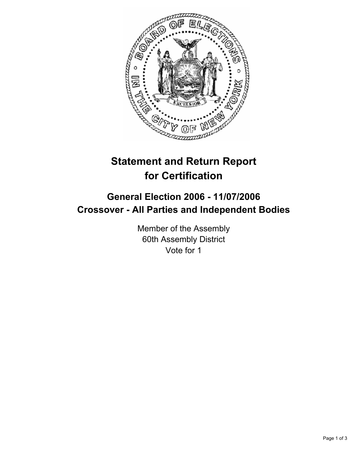

# **Statement and Return Report for Certification**

# **General Election 2006 - 11/07/2006 Crossover - All Parties and Independent Bodies**

Member of the Assembly 60th Assembly District Vote for 1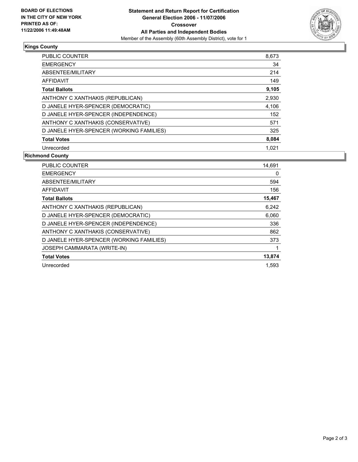

## **Kings County**

| PUBLIC COUNTER                           | 8,673 |
|------------------------------------------|-------|
| <b>EMERGENCY</b>                         | 34    |
| ABSENTEE/MILITARY                        | 214   |
| AFFIDAVIT                                | 149   |
| <b>Total Ballots</b>                     | 9,105 |
| ANTHONY C XANTHAKIS (REPUBLICAN)         | 2,930 |
| D JANELE HYER-SPENCER (DEMOCRATIC)       | 4,106 |
| D JANELE HYER-SPENCER (INDEPENDENCE)     | 152   |
| ANTHONY C XANTHAKIS (CONSERVATIVE)       | 571   |
| D JANELE HYER-SPENCER (WORKING FAMILIES) | 325   |
| <b>Total Votes</b>                       | 8,084 |
| Unrecorded                               | 1.021 |

### **Richmond County**

| PUBLIC COUNTER                           | 14,691 |
|------------------------------------------|--------|
| <b>EMERGENCY</b>                         | 0      |
| ABSENTEE/MILITARY                        | 594    |
| <b>AFFIDAVIT</b>                         | 156    |
| <b>Total Ballots</b>                     | 15,467 |
| ANTHONY C XANTHAKIS (REPUBLICAN)         | 6,242  |
| D JANELE HYER-SPENCER (DEMOCRATIC)       | 6,060  |
| D JANELE HYER-SPENCER (INDEPENDENCE)     | 336    |
| ANTHONY C XANTHAKIS (CONSERVATIVE)       | 862    |
| D JANELE HYER-SPENCER (WORKING FAMILIES) | 373    |
| JOSEPH CAMMARATA (WRITE-IN)              |        |
| <b>Total Votes</b>                       | 13,874 |
| Unrecorded                               | 1.593  |